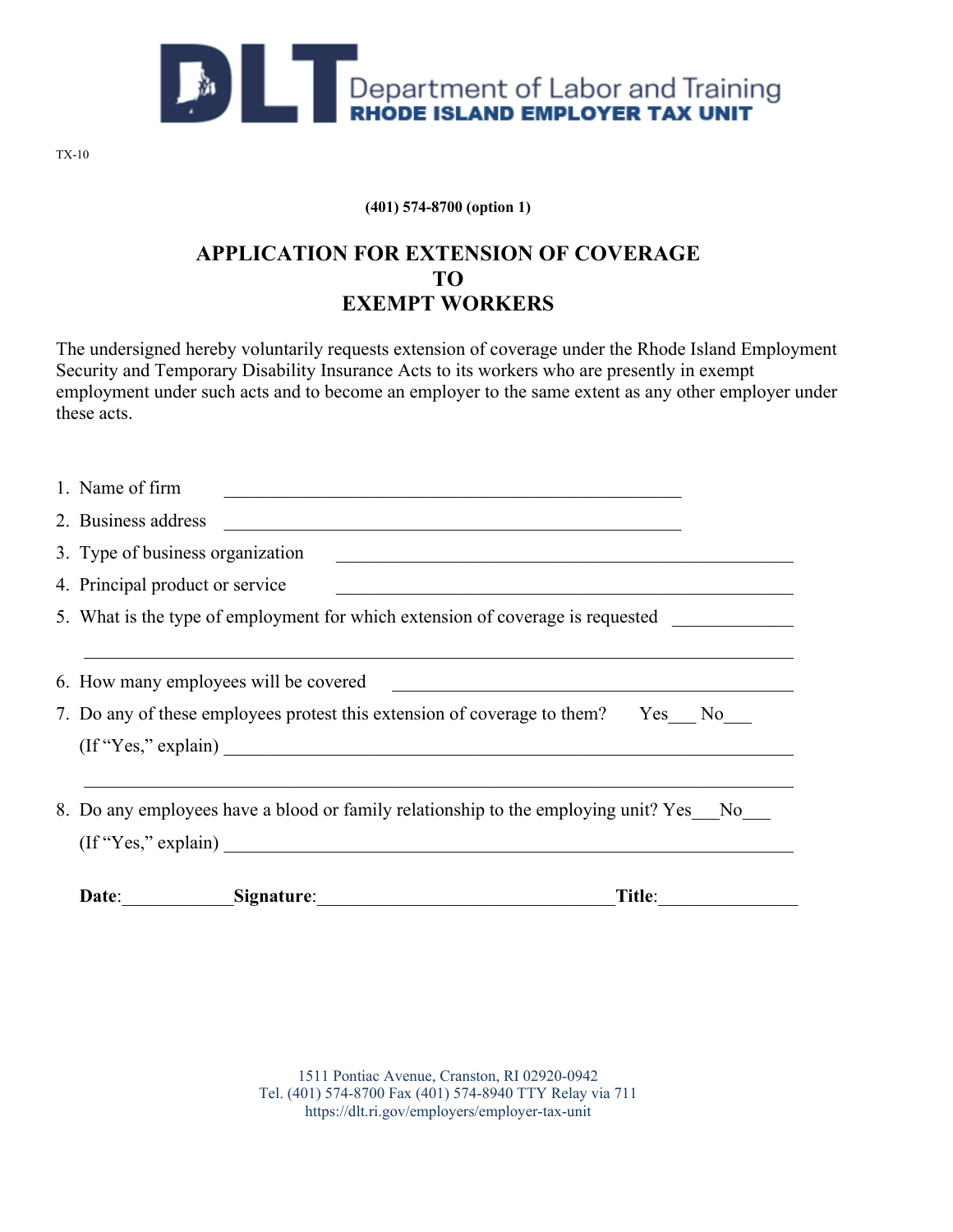

**(401) 574-8700 (option 1)**

## **APPLICATION FOR EXTENSION OF COVERAGE TO EXEMPT WORKERS**

The undersigned hereby voluntarily requests extension of coverage under the Rhode Island Employment Security and Temporary Disability Insurance Acts to its workers who are presently in exempt employment under such acts and to become an employer to the same extent as any other employer under these acts.

| Title:<br>Date:<br>Signature:                                                                                      |
|--------------------------------------------------------------------------------------------------------------------|
| 8. Do any employees have a blood or family relationship to the employing unit? Yes No<br>$($ If "Yes," explain $)$ |
| 7. Do any of these employees protest this extension of coverage to them? Yes No                                    |
| 6. How many employees will be covered                                                                              |
| 5. What is the type of employment for which extension of coverage is requested                                     |
| 4. Principal product or service                                                                                    |
| 3. Type of business organization                                                                                   |
| 2. Business address                                                                                                |
| 1. Name of firm                                                                                                    |

1511 Pontiac Avenue, Cranston, RI 02920-0942 Tel. (401) 574-8700 Fax (401) 574-8940 TTY Relay via 711 https://dlt.ri.gov/employers/employer-tax-unit

TX-10